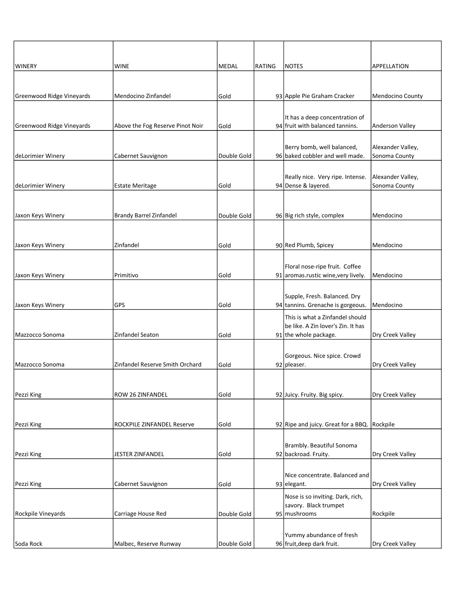| WINERY                    | <b>WINE</b>                      | <b>MEDAL</b> | <b>RATING</b> | NOTES                                                             | <b>APPELLATION</b>                 |
|---------------------------|----------------------------------|--------------|---------------|-------------------------------------------------------------------|------------------------------------|
|                           |                                  |              |               |                                                                   |                                    |
|                           |                                  |              |               |                                                                   |                                    |
| Greenwood Ridge Vineyards | Mendocino Zinfandel              | Gold         |               | 93 Apple Pie Graham Cracker                                       | Mendocino County                   |
|                           |                                  |              |               | It has a deep concentration of                                    |                                    |
| Greenwood Ridge Vineyards | Above the Fog Reserve Pinot Noir | Gold         |               | 94 fruit with balanced tannins.                                   | Anderson Valley                    |
|                           |                                  |              |               |                                                                   |                                    |
| deLorimier Winery         | Cabernet Sauvignon               | Double Gold  |               | Berry bomb, well balanced,<br>96 baked cobbler and well made.     | Alexander Valley,<br>Sonoma County |
|                           |                                  |              |               |                                                                   |                                    |
|                           |                                  |              |               | Really nice. Very ripe. Intense.                                  | Alexander Valley,                  |
| deLorimier Winery         | <b>Estate Meritage</b>           | Gold         |               | 94 Dense & layered.                                               | Sonoma County                      |
|                           |                                  |              |               |                                                                   |                                    |
| Jaxon Keys Winery         | <b>Brandy Barrel Zinfandel</b>   | Double Gold  |               | 96 Big rich style, complex                                        | Mendocino                          |
|                           |                                  |              |               |                                                                   |                                    |
|                           |                                  |              |               |                                                                   |                                    |
| Jaxon Keys Winery         | Zinfandel                        | Gold         |               | 90 Red Plumb, Spicey                                              | Mendocino                          |
|                           |                                  |              |               | Floral nose-ripe fruit. Coffee                                    |                                    |
| Jaxon Keys Winery         | Primitivo                        | Gold         |               | 91 aromas.rustic wine, very lively.                               | Mendocino                          |
|                           |                                  |              |               |                                                                   |                                    |
| Jaxon Keys Winery         | <b>GPS</b>                       | Gold         |               | Supple, Fresh. Balanced. Dry<br>94 tannins. Grenache is gorgeous. | Mendocino                          |
|                           |                                  |              |               | This is what a Zinfandel should                                   |                                    |
|                           |                                  |              |               | be like. A Zin lover's Zin. It has                                |                                    |
| Mazzocco Sonoma           | Zinfandel Seaton                 | Gold         |               | 91 the whole package.                                             | Dry Creek Valley                   |
|                           |                                  |              |               | Gorgeous. Nice spice. Crowd                                       |                                    |
| Mazzocco Sonoma           | Zinfandel Reserve Smith Orchard  | Gold         |               | 92 pleaser.                                                       | Dry Creek Valley                   |
|                           |                                  |              |               |                                                                   |                                    |
|                           |                                  |              |               |                                                                   |                                    |
| Pezzi King                | ROW 26 ZINFANDEL                 | Gold         |               | 92 Juicy. Fruity. Big spicy.                                      | Dry Creek Valley                   |
|                           |                                  |              |               |                                                                   |                                    |
| Pezzi King                | ROCKPILE ZINFANDEL Reserve       | Gold         |               | 92 Ripe and juicy. Great for a BBQ. Rockpile                      |                                    |
|                           |                                  |              |               |                                                                   |                                    |
| Pezzi King                | JESTER ZINFANDEL                 | Gold         |               | Brambly. Beautiful Sonoma<br>92 backroad. Fruity.                 | Dry Creek Valley                   |
|                           |                                  |              |               |                                                                   |                                    |
|                           |                                  |              |               | Nice concentrate. Balanced and                                    |                                    |
| Pezzi King                | Cabernet Sauvignon               | Gold         |               | 93 elegant.                                                       | Dry Creek Valley                   |
|                           |                                  |              |               | Nose is so inviting. Dark, rich,                                  |                                    |
| Rockpile Vineyards        | Carriage House Red               | Double Gold  |               | savory. Black trumpet<br>95 mushrooms                             | Rockpile                           |
|                           |                                  |              |               |                                                                   |                                    |
|                           |                                  |              |               | Yummy abundance of fresh                                          |                                    |
| Soda Rock                 | Malbec, Reserve Runway           | Double Gold  |               | 96 fruit, deep dark fruit.                                        | Dry Creek Valley                   |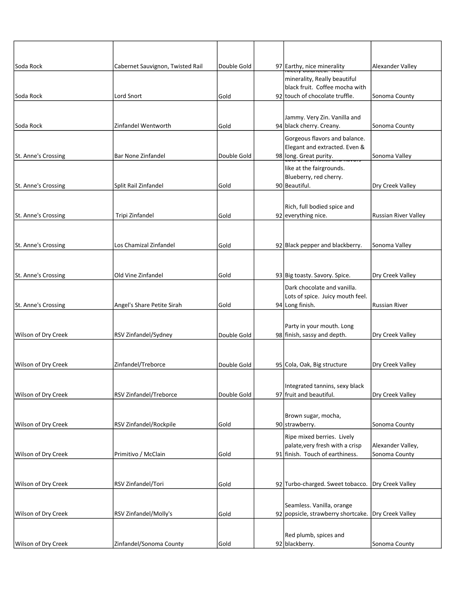| Soda Rock           | Cabernet Sauvignon, Twisted Rail | Double Gold | 97 Earthy, nice minerality                                                               | Alexander Valley                   |
|---------------------|----------------------------------|-------------|------------------------------------------------------------------------------------------|------------------------------------|
|                     |                                  |             | minerality, Really beautiful<br>black fruit. Coffee mocha with                           |                                    |
| lSoda Rock          | Lord Snort                       | Gold        | 92 touch of chocolate truffle.                                                           | Sonoma County                      |
| Soda Rock           | Zinfandel Wentworth              | Gold        | Jammy. Very Zin. Vanilla and<br>94 black cherry. Creany.                                 | Sonoma County                      |
| St. Anne's Crossing | <b>Bar None Zinfandel</b>        | Double Gold | Gorgeous flavors and balance.<br>Elegant and extracted. Even &<br>98 long. Great purity. | Sonoma Valley                      |
| St. Anne's Crossing | Split Rail Zinfandel             | Gold        | like at the fairgrounds.<br>Blueberry, red cherry.<br>90 Beautiful.                      | Dry Creek Valley                   |
|                     |                                  |             |                                                                                          |                                    |
|                     |                                  |             | Rich, full bodied spice and                                                              |                                    |
| St. Anne's Crossing | Tripi Zinfandel                  | Gold        | 92 everything nice.                                                                      | <b>Russian River Valley</b>        |
|                     | Los Chamizal Zinfandel           |             | 92 Black pepper and blackberry.                                                          | Sonoma Valley                      |
| St. Anne's Crossing |                                  | Gold        |                                                                                          |                                    |
| St. Anne's Crossing | Old Vine Zinfandel               | Gold        | 93 Big toasty. Savory. Spice.                                                            | Dry Creek Valley                   |
|                     |                                  |             |                                                                                          |                                    |
| St. Anne's Crossing | Angel's Share Petite Sirah       | Gold        | Dark chocolate and vanilla.<br>Lots of spice. Juicy mouth feel.<br>94 Long finish.       | <b>Russian River</b>               |
|                     |                                  |             |                                                                                          |                                    |
| Wilson of Dry Creek | RSV Zinfandel/Sydney             | Double Gold | Party in your mouth. Long<br>98 finish, sassy and depth.                                 | Dry Creek Valley                   |
|                     |                                  |             |                                                                                          |                                    |
| Wilson of Dry Creek | Zinfandel/Treborce               | Double Gold | 95 Cola, Oak, Big structure                                                              | Dry Creek Valley                   |
|                     |                                  |             |                                                                                          |                                    |
|                     |                                  |             | Integrated tannins, sexy black<br>97 fruit and beautiful.                                |                                    |
| Wilson of Dry Creek | RSV Zinfandel/Treborce           | Double Gold |                                                                                          | Dry Creek Valley                   |
|                     |                                  |             | Brown sugar, mocha,                                                                      |                                    |
| Wilson of Dry Creek | RSV Zinfandel/Rockpile           | Gold        | 90 strawberry.                                                                           | Sonoma County                      |
|                     |                                  |             | Ripe mixed berries. Lively                                                               |                                    |
| Wilson of Dry Creek | Primitivo / McClain              | Gold        | palate, very fresh with a crisp<br>91 finish. Touch of earthiness.                       | Alexander Valley,<br>Sonoma County |
|                     |                                  |             |                                                                                          |                                    |
|                     |                                  |             |                                                                                          |                                    |
| Wilson of Dry Creek | RSV Zinfandel/Tori               | Gold        | 92 Turbo-charged. Sweet tobacco.   Dry Creek Valley                                      |                                    |
|                     |                                  |             |                                                                                          |                                    |
| Wilson of Dry Creek | RSV Zinfandel/Molly's            | Gold        | Seamless. Vanilla, orange<br>92 popsicle, strawberry shortcake.                          | Dry Creek Valley                   |
|                     |                                  |             |                                                                                          |                                    |
|                     |                                  |             | Red plumb, spices and                                                                    |                                    |
| Wilson of Dry Creek | Zinfandel/Sonoma County          | Gold        | 92 blackberry.                                                                           | Sonoma County                      |